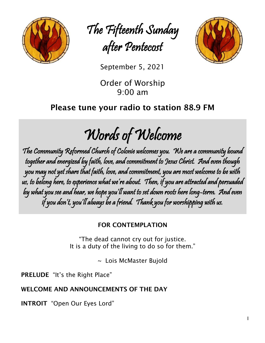

The Fifteenth Sunday after Pentecost



September 5, <sup>2021</sup>

Order of Worship 9:00 am

# Please tune your radio to station 88.9 FM

Words of Welcome

The Community Reformed Church of Colonie welcomes you. We are a community bound together and energized by faith, love, and commitment to Jesus Christ. And even though you may not yet share that faith, love, and commitment, you are most welcome to be with us, to belong here, to experience what we're about. Then, if you are attracted and persuaded by what you see and hear, we hope you'll want to set down roots here long-term. And even if you don't, you'll always be a friend. Thank you for worshipping with us.

FOR CONTEMPLATION

"The dead cannot cry out for justice. It is a duty of the living to do so for them."

~ Lois McMaster Bujold

PRELUDE "It's the Right Place"

WELCOME AND ANNOUNCEMENTS OF THE DAY

INTROIT "Open Our Eyes Lord"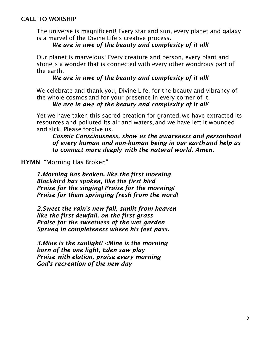### CALL TO WORSHIP

The universe is magnificent! Every star and sun, every planet and galaxy is a marvel of the Divine Life's creative process.

### *We are in awe of the beauty and complexity of it all!*

Our planet is marvelous! Every creature and person, every plant and stone is a wonder that is connected with every other wondrous part of the earth.

### *We are in awe of the beauty and complexity of it all!*

We celebrate and thank you, Divine Life, for the beauty and vibrancy of the whole cosmos and for your presence in every corner of it.

#### *We are in awe of the beauty and complexity of it all!*

Yet we have taken this sacred creation for granted, we have extracted its resources and polluted its air and waters, and we have left it wounded and sick. Please forgive us.

*Cosmic Consciousness, show us the awareness and personhood of every human and non-human being in our earth and help us to connect more deeply with the natural world. Amen.*

HYMN "Morning Has Broken"

*1.Morning has broken, like the first morning Blackbird has spoken, like the first bird Praise for the singing! Praise for the morning! Praise for them springing fresh from the word!*

*2.Sweet the rain's new fall, sunlit from heaven like the first dewfall, on the first grass Praise for the sweetness of the wet garden Sprung in completeness where his feet pass.*

*3.Mine is the sunlight! <Mine is the morning born of the one light, Eden saw play Praise with elation, praise every morning God's recreation of the new day*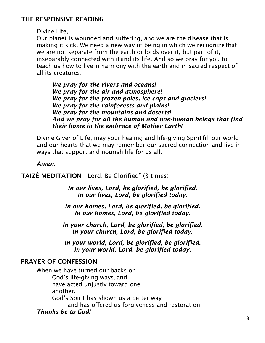# THE RESPONSIVE READING

# Divine Life,

Our planet is wounded and suffering, and we are the disease that is making it sick. We need a new way of being in which we recognize that we are not separate from the earth or lords over it, but part of it, inseparably connected with it and its life. And so we pray for you to teach us how to live in harmony with the earth and in sacred respect of all its creatures.

*We pray for the rivers and oceans! We pray for the air and atmosphere! We pray for the frozen poles, ice caps and glaciers! We pray for the rainforests and plains! We pray for the mountains and deserts! And we pray for all the human and non-human beings that find their home in the embrace of Mother Earth!*

Divine Giver of Life, may your healing and life-giving Spiritfill our world and our hearts that we may remember our sacred connection and live in ways that support and nourish life for us all.

### *Amen.*

TAIZÉ MEDITATION "Lord, Be Glorified" (3 times)

*In our lives, Lord, be glorified, be glorified. In our lives, Lord, be glorified today.*

*In our homes, Lord, be glorified, be glorified. In our homes, Lord, be glorified today.*

*In your church, Lord, be glorified, be glorified. In your church, Lord, be glorified today.*

*In your world, Lord, be glorified, be glorified. In your world, Lord, be glorified today.*

## PRAYER OF CONFESSION

When we have turned our backs on God's life-giving ways, and have acted unjustly toward one another, God's Spirit has shown us a better way and has offered us forgiveness and restoration. *Thanks be to God!*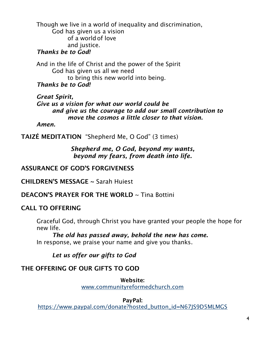Though we live in a world of inequality and discrimination, God has given us a vision of a world of love and justice.

# *Thanks be to God!*

And in the life of Christ and the power of the Spirit God has given us all we need to bring this new world into being. *Thanks be to God!*

#### *Great Spirit, Give us a vision for what our world could be and give us the courage to add our small contribution to move the cosmos a little closer to that vision.*

*Amen.*

TAIZÉ MEDITATION "Shepherd Me, O God" (3 times)

# *Shepherd me, O God, beyond my wants, beyond my fears, from death into life.*

# ASSURANCE OF GOD'S FORGIVENESS

CHILDREN'S MESSAGE ~ Sarah Huiest

# DEACON'S PRAYER FOR THE WORLD ~ Tina Bottini

# CALL TO OFFERING

Graceful God, through Christ you have granted your people the hope for new life.

*The old has passed away, behold the new has come.* In response, we praise your name and give you thanks.

*Let us offer our gifts to God*

# THE OFFERING OF OUR GIFTS TO GOD

Website:

[www.communityreformedchurch.com](http://www.communityreformedchurch.com/)

PayPal:

[https://www.paypal.com/donate?hosted\\_button\\_id=N67JS9D5MLMGS](https://www.paypal.com/donate?hosted_button_id=N67JS9D5MLMGS)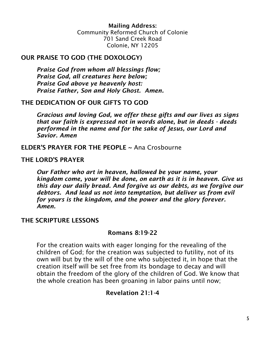#### Mailing Address:

Community Reformed Church of Colonie 701 Sand Creek Road Colonie, NY 12205

### OUR PRAISE TO GOD (THE DOXOLOGY)

*Praise God from whom all blessings flow; Praise God, all creatures here below; Praise God above ye heavenly host: Praise Father, Son and Holy Ghost. Amen.*

# THE DEDICATION OF OUR GIFTS TO GOD

*Gracious and loving God, we offer these gifts and our lives as signs that our faith is expressed not in words alone, but in deeds - deeds performed in the name and for the sake of Jesus, our Lord and Savior. Amen*

ELDER'S PRAYER FOR THE PEOPLE ~ Ana Crosbourne

## THE LORD'S PRAYER

*Our Father who art in heaven, hallowed be your name, your kingdom come, your will be done, on earth as it is in heaven. Give us this day our daily bread. And forgive us our debts, as we forgive our debtors. And lead us not into temptation, but deliver us from evil for yours is the kingdom, and the power and the glory forever. Amen.*

## THE SCRIPTURE LESSONS

## Romans 8:19-22

For the creation waits with eager longing for the revealing of the children of God; for the creation was subjected to futility, not of its own will but by the will of the one who subjected it, in hope that the creation itself will be set free from its bondage to decay and will obtain the freedom of the glory of the children of God. We know that the whole creation has been groaning in labor pains until now;

## Revelation 21:1-4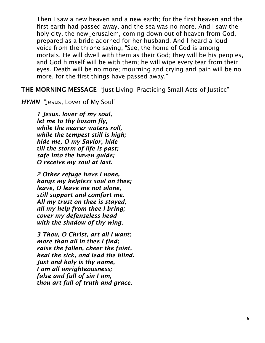Then I saw a new heaven and a new earth; for the first heaven and the first earth had passed away, and the sea was no more. And I saw the holy city, the new Jerusalem, coming down out of heaven from God, prepared as a bride adorned for her husband. And I heard a loud voice from the throne saying, "See, the home of God is among mortals. He will dwell with them as their God; they will be his peoples, and God himself will be with them; he will wipe every tear from their eyes. Death will be no more; mourning and crying and pain will be no more, for the first things have passed away."

THE MORNING MESSAGE "Just Living: Practicing Small Acts of Justice"

*HYMN* "Jesus, Lover of My Soul"

*1 Jesus, lover of my soul, let me to thy bosom fly, while the nearer waters roll, while the tempest still is high; hide me, O my Savior, hide till the storm of life is past; safe into the haven guide; O receive my soul at last.*

*2 Other refuge have I none, hangs my helpless soul on thee; leave, O leave me not alone, still support and comfort me. All my trust on thee is stayed, all my help from thee I bring; cover my defenseless head with the shadow of thy wing.*

*3 Thou, O Christ, art all I want; more than all in thee I find; raise the fallen, cheer the faint, heal the sick, and lead the blind. Just and holy is thy name, I am all unrighteousness; false and full of sin I am, thou art full of truth and grace.*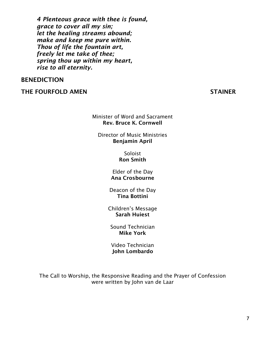*4 Plenteous grace with thee is found, grace to cover all my sin; let the healing streams abound; make and keep me pure within. Thou of life the fountain art, freely let me take of thee; spring thou up within my heart, rise to all eternity.*

#### BENEDICTION

#### THE FOURFOLD AMEN STAINER

Minister of Word and Sacrament Rev. Bruce K. Cornwell

Director of Music Ministries Benjamin April

> Soloist Ron Smith

Elder of the Day Ana Crosbourne

Deacon of the Day Tina Bottini

Children's Message Sarah Huiest

Sound Technician Mike York

Video Technician John Lombardo

The Call to Worship, the Responsive Reading and the Prayer of Confession were written by John van de Laar